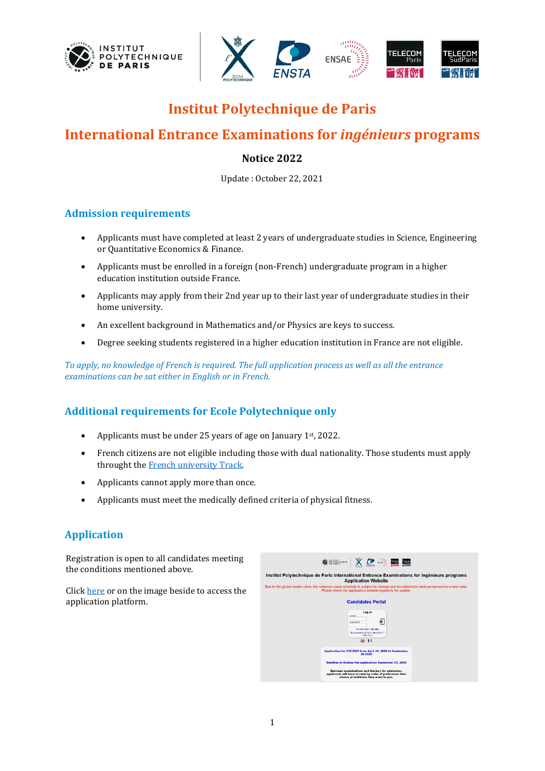



# **Institut Polytechnique de Paris**

# **International Entrance Examinations for** *ingénieurs* **programs**

# **Notice 2022**

Update : October 22, 2021

### **Admission requirements**

- Applicants must have completed at least 2 years of undergraduate studies in Science, Engineering or Quantitative Economics & Finance.
- Applicants must be enrolled in a foreign (non-French) undergraduate program in a higher education institution outside France.
- Applicants may apply from their 2nd year up to their last year of undergraduate studies in their home university.
- An excellent background in Mathematics and/or Physics are keys to success.
- Degree seeking students registered in a higher education institution in France are not eligible.

*To apply, no knowledge of French is required. The full application process as well as all the entrance examinations can be sat either in English or in French.*

# **Additional requirements for Ecole Polytechnique only**

- Applicants must be under 25 years of age on January 1<sup>st</sup>, 2022.
- French citizens are not eligible including those with dual nationality. Those students must apply throught th[e French university Track.](https://www.polytechnique.edu/admission-cycle-ingenieur/fr/voie-universitaire-univ-fili%C3%A8re-universitaire-fran%C3%A7aise-fuf-0)
- Applicants cannot apply more than once.
- Applicants must meet the medically defined criteria of physical fitness.

# **Application**

Registration is open to all candidates meeting the conditions mentioned above.

Clic[k here](https://dca-concours.polytechnique.fr/fui/welcome/cand.php) or on the image beside to access the application platform.

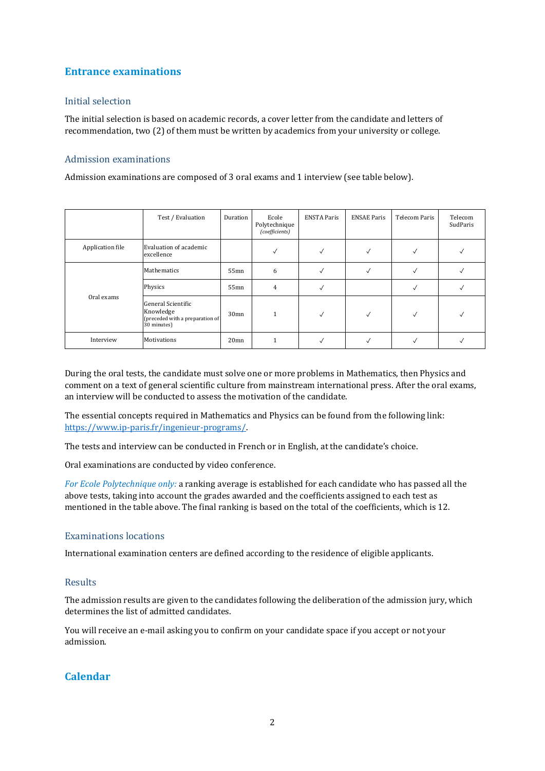## **Entrance examinations**

#### Initial selection

The initial selection is based on academic records, a cover letter from the candidate and letters of recommendation, two (2) of them must be written by academics from your university or college.

#### Admission examinations

Admission examinations are composed of 3 oral exams and 1 interview (see table below).

|                  | Test / Evaluation                                                                 | Duration         | Ecole<br>Polytechnique<br>(coefficients) | <b>ENSTA Paris</b> | <b>ENSAE Paris</b> | Telecom Paris | Telecom<br>SudParis |
|------------------|-----------------------------------------------------------------------------------|------------------|------------------------------------------|--------------------|--------------------|---------------|---------------------|
| Application file | Evaluation of academic<br>excellence                                              |                  | √                                        | √                  |                    | v             |                     |
| Oral exams       | Mathematics                                                                       | 55mn             | 6                                        | √                  | √                  |               |                     |
|                  | Physics                                                                           | 55mn             | $\overline{4}$                           |                    |                    |               |                     |
|                  | General Scientific<br>Knowledge<br>(preceded with a preparation of<br>30 minutes) | 30 <sub>mn</sub> |                                          | √                  | √                  | √             |                     |
| Interview        | <b>Motivations</b>                                                                | 20 <sub>mn</sub> |                                          |                    |                    |               |                     |

During the oral tests, the candidate must solve one or more problems in Mathematics, then Physics and comment on a text of general scientific culture from mainstream international press. After the oral exams, an interview will be conducted to assess the motivation of the candidate.

The essential concepts required in Mathematics and Physics can be found from the following link: [https://www.ip-paris.fr/ingenieur-programs/.](https://www.ip-paris.fr/ingenieur-programs/)

The tests and interview can be conducted in French or in English, at the candidate's choice.

Oral examinations are conducted by video conference.

*For Ecole Polytechnique only:* a ranking average is established for each candidate who has passed all the above tests, taking into account the grades awarded and the coefficients assigned to each test as mentioned in the table above. The final ranking is based on the total of the coefficients, which is 12.

#### Examinations locations

International examination centers are defined according to the residence of eligible applicants.

#### Results

The admission results are given to the candidates following the deliberation of the admission jury, which determines the list of admitted candidates.

You will receive an e-mail asking you to confirm on your candidate space if you accept or not your admission.

# **Calendar**